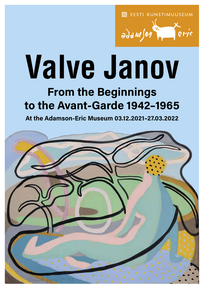**同** EESTI KUNSTIMUUSEUM



# **Valve Janov**

# From the Beginnings to the Avant-Garde 1942–1965

At the Adamson-Eric Museum 03.12.2021–27.03.2022

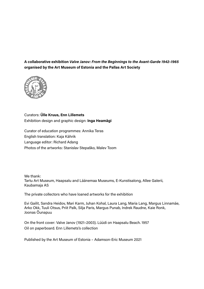A collaborative exhibition Valve Janov: From the Beginnings to the Avant-Garde 1942–1965 organised by the Art Museum of Estonia and the Pallas Art Society



Curators: Ülle Kruus, Enn Lillemets Exhibition design and graphic design: Inga Heamägi

Curator of education programmes: Annika Teras English translation: Kaja Kährik Language editor: Richard Adang Photos of the artworks: Stanislav Stepaško, Malev Toom

We thank: Tartu Art Museum, Haapsalu and Läänemaa Museums, E-Kunstisalong, Allee Galerii, Kaubamaja AS

The private collectors who have loaned artworks for the exhibition

Evi Gailit, Sandra Heidov, Mari Karm, Juhan Kohal, Laura Lang, Maria Lang, Margus Linnamäe, Arko Okk, Tuuli Otsus, Priit Palk, Silja Paris, Margus Punab, Indrek Raudne, Kaie Ronk, Joonas Õunapuu

On the front cover: Valve Janov (1921–2003). Lüüdi on Haapsalu Beach. 1957 Oil on paperboard. Enn Lillemets's collection

Published by the Art Museum of Estonia – Adamson-Eric Museum 2021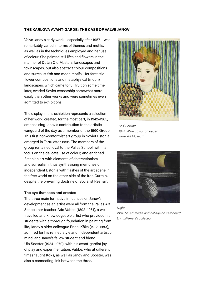#### THE KARLOVA AVANT-GARDE: THE CASE OF VALVE JANOV

Valve Janov's early work – especially after 1957 – was remarkably varied in terms of themes and motifs, as well as in the techniques employed and her use of colour. She painted still lifes and flowers in the manner of Dutch Old Masters, landscapes and townscapes, but also abstract colour compositions and surrealist fish and moon motifs. Her fantastic flower compositions and metaphysical (moon) landscapes, which came to full fruition some time later, evaded Soviet censorship somewhat more easily than other works and were sometimes even admitted to exhibitions.

The display in this exhibition represents a selection of her work, created, for the most part, in 1942–1965, emphasising Janov's contribution to the artistic vanguard of the day as a member of the 1960 Group. This first non-conformist art group in Soviet Estonia emerged in Tartu after 1956. The members of the group remained loyal to the Pallas School, with its focus on the delicate use of colour, and enriched Estonian art with elements of abstractionism and surrealism, thus synthesising memories of independent Estonia with flashes of the art scene in the free world on the other side of the Iron Curtain, despite the prevailing doctrine of Socialist Realism.

#### The eye that sees and creates

The three main formative influences on Janov's development as an artist were all from the Pallas Art School: her teacher Ado Vabbe (1892–1961), a welltravelled and knowledgeable artist who provided his students with a thorough foundation in painting from life, Janov's older colleague Endel Kõks (1912–1983), admired for his refined style and independent artistic mind, and Janov's fellow student and friend Ülo Sooster (1924–1970), with his avant-gardist joy of play and experimentation. Vabbe, who at different times taught Kõks, as well as Janov and Sooster, was also a connecting link between the three.



Self-Portrait 1944. Watercolour on paper Tartu Art Museum



Night 1964. Mixed media and collage on cardboard Enn Lillemets's collection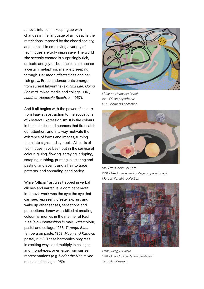Janov's intuition in keeping up with changes in the language of art, despite the restrictions imposed by the closed society, and her skill in employing a variety of techniques are truly impressive. The world she secretly created is surprisingly rich, delicate and joyful, but one can also sense a certain metaphysical anxiety seeping through. Her moon affects tides and her fish grow. Erotic undercurrents emerge from surreal labyrinths (e.g. Still Life: Going Forward, mixed media and collage, 1961; Lüüdi on Haapsalu Beach, oil, 1957).

And it all begins with the power of colour: from Fauvist abstraction to the evocations of Abstract Expressionism. It is the colours in their shades and nuances that first catch our attention, and in a way motivate the existence of forms and images, turning them into signs and symbols. All sorts of techniques have been put in the service of colour: gluing, flowing, spraying, dripping, scraping, rubbing, printing, plastering and pasting, and even using a hair to trace patterns, and spreading pearl barley.

While "official" art was trapped in verbal cliches and narrative, a dominant motif in Janov's work was the eye: the eye that can see, represent, create, explain, and wake up other senses, sensations and perceptions. Janov was skilled at creating colour harmonies in the manner of Paul Klee (e.g. Composition in Blue, watercolour, pastel and collage, 1958; Through Blue, tempera on paste, 1959; Moon and Karlova, pastel, 1962). These harmonies progress in exciting ways and multiply in collages and monotypes, or emerge from surreal representations (e.g. Under the Net, mixed media and collage, 1959;



Lüüdi on Haapsalu Beach 1957. Oil on paperboard Enn Lillemets's collection



Still Life: Going Forward 1961. Mixed media and collage on paperboard Margus Punab's collection



Fish: Going Forward 1961. Oil and oil pastel on cardboard Tartu Art Museum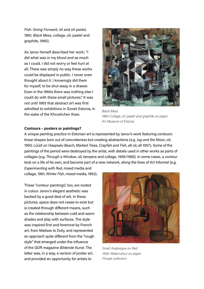Fish: Going Forward, oil and oil pastel, 1961; Black Mess, collage, oil, pastel and graphite, 1960).

As Janov herself described her work: "I did what was in my blood and as much as I could. I did not worry or feel hurt at all. There was simply no way these works could be displayed in public. I never even thought about it. I knowingly did them for myself, to be shut away in a drawer. Even in the 1960s there was nothing else I could do with these small pictures." It was not until 1965 that abstract art was first admitted to exhibitions in Soviet Estonia, in the wake of the Khrushchev thaw.



Black Mess 1960. Collage, oil, pastel and graphite on paper Art Museum of Estonia

#### Contours – posters or paintings?

A unique painting practice in Estonian art is represented by Janov's work featuring contours: linear shapes born out of concreteness but creating abstractions (e.g. Jug and the Moon, oil, 1950; Lüüdi on Haapsalu Beach, Marked Trees, Crayfish and Fish, all oil, all 1957). Some of the paintings of the period were destroyed by the artist, with details used in other works as parts of collages (e.g. Through a Window, oil, tempera and collage, 1959/1960). In some cases, a contour took on a life of its own, and become part of a new network, along the lines of Art Informel (e.g.

Experimenting with Red, mixed media and collage, 1961; Winter Fish, mixed media, 1963).

These "contour paintings", too, are rooted in colour. Janov's elegant aesthetic was backed by a good deal of wit. In these pictures, space does not cease to exist but is created through different means, such as the relationship between cold and warm shades and play with surfaces. The style was inspired first and foremost by French art, from Matisse to Dufy, and represented an approach quite different from the "rough style" that emerged under the influence of the GDR magazine Bildende Kunst. The latter was, in a way, a version of poster art, and provided an opportunity for artists to



Small Arabesque on Red 1958. Watercolour on paper Private collection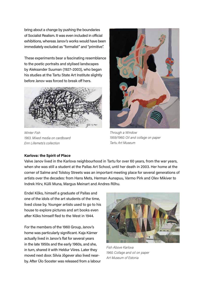bring about a change by pushing the boundaries of Socialist Realism. It was even included in official exhibitions, whereas Janov's works would have been immediately excluded as "formalist" and "primitive".

These experiments bear a fascinating resemblance to the poetic portraits and stylised landscapes by Aleksander Suuman (1927–2003), who began his studies at the Tartu State Art Institute slightly before Janov was forced to break off hers.



Winter Fish 1963. Mixed media on cardboard Enn Lillemets's collection



Through a Window 1959/1960. Oil and collage on paper Tartu Art Museum

# Karlova: the Spirit of Place

Valve Janov lived in the Karlova neighbourhood in Tartu for over 60 years, from the war years, when she was still a student at the Pallas Art School, until her death in 2003. Her home at the corner of Salme and Tolstoy Streets was an important meeting place for several generations of artists over the decades: from Hans Mets, Herman Aunapuu, Varmo Pirk and Olev Mikiver to Indrek Hirv, Külli Muna, Margus Meinart and Andres Rõhu.

Endel Kõks, himself a graduate of Pallas and one of the idols of the art students of the time, lived close by. Younger artists used to go to his house to explore pictures and art books even after Kõks himself fled to the West in 1944.

For the members of the 1960 Group, Janov's home was particularly significant. Kaja Kärner actually lived in Janov's flat for several years in the late 1950s and the early 1960s, and she, in turn, shared it with Heldur Viires. Later they moved next door. Silvia Jõgever also lived nearby. After Ülo Sooster was released from a labour



Fish Above Karlova 1960. Collage and oil on paper Art Museum of Estonia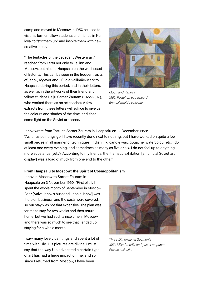camp and moved to Moscow in 1957, he used to visit his former fellow students and friends in Karlova, to "stir them up" and inspire them with new creative ideas.

"The tentacles of the decadent Western art" reached from Tartu not only to Tallinn and Moscow, but also to Haapsalu on the west coast of Estonia. This can be seen in the frequent visits of Janov, Jõgever and Lüüdia Vallimäe-Mark to Haapsalu during this period, and in their letters, as well as in the artworks of their friend and fellow student Helju Sarnet Zauram (1922–2017), who worked there as an art teacher. A few extracts from these letters will suffice to give us the colours and shades of the time, and shed some light on the Soviet art scene.



Moon and Karlova 1962. Pastel on paperboard Enn Lillemets's collection

Janov wrote from Tartu to Sarnet Zauram in Haapsalu on 12 December 1959:

"As far as paintings go, I have recently done next to nothing, but I have worked on quite a few small pieces in all manner of techniques: Indian ink, candle wax, gouache, watercolour etc. I do at least one every evening, and sometimes as many as five or six. I do not feel up to anything more substantial yet.// According to my friends, the thematic exhibition [an official Soviet art display] was a load of muck from one end to the other."

# From Haapsalu to Moscow: the Spirit of Cosmopolitanism

Janov in Moscow to Sarnet Zauram in Haapsalu on 3 November 1960: "First of all, I spent the whole month of September in Moscow. Bear [Valve Janov's husband Leonid Janov] was there on business, and the costs were covered, so our stay was not that expensive. The plan was for me to stay for two weeks and then return home, but we had such a nice time in Moscow and there was so much to see that I ended up staying for a whole month.

I saw many lovely paintings and spent a lot of time with Ülo. His pictures are divine. I must say that the way Ülo advocated a certain type of art has had a huge impact on me, and so, since I returned from Moscow, I have been



Three-Dimensional Segments 1959. Mixed media and pastel on paper Private collection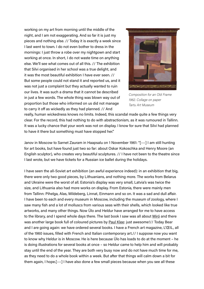working on my art from morning until the middle of the night, and I am not exaggerating. And so far it is just my pieces and nothing else. // Today it is exactly a week since I last went to town. I do not even bother to dress in the mornings: I just throw a robe over my nightgown and start working at once. In short, I do not waste time on anything else. We'll see what comes out of all this. // The exhibition that Silvi organised in her school was a true delight, and it was the most beautiful exhibition I have ever seen. // But some people could not stand it and reported us, and it was not just a complaint but they actually wanted to ruin our lives. It was such a drama that it cannot be described in just a few words. The whole thing was blown way out of proportion but those who informed on us did not manage to carry it off as wickedly as they had planned. // And



Composition for an Old Frame 1962. Collage on paper Tartu Art Museum

really, human wickedness knows no limits. Indeed, this scandal made quite a few things very clear. For the record, this had nothing to do with abstractionism, as it was rumoured in Tallinn. It was a lucky chance that your work was not on display. I know for sure that Silvi had planned to have it there but something must have stopped her."

Janov in Moscow to Sarnet Zauram in Haapsalu on 1 November 1961: "[---] I am still hunting for art books, but have found just two so far: about Oskar Kokoschka and Henry Moore (an English sculptor), who creates very beautiful sculptures. // I have not been to the theatre since I last wrote, but we have tickets for a Russian ice ballet during the holidays.

I have seen the all-Soviet art exhibition (an awful experience indeed): in an exhibition that big, there were only two good pieces, by Lithuanians, and nothing more. The works from Belarus and Ukraine were the worst of all. Estonia's display was very small, Latvia's was twice the size, and Lithuania also had more works on display. From Estonia, there were mainly men from Tallinn: Pihelga, Alas, Mildeberg, Linnat, Einmann and so on. It was a sad and dull affair. I have been to each and every museum in Moscow, including the museum of zoology, where I saw many fish and a lot of molluscs from various seas with their shells, which looked like true artworks, and many other things. Now Ülo and Heldur have arranged for me to have access to the library, and I spend whole days there. The last book I saw was all about Miró and there was another large book full of coloured pictures by Paul Klee: just awesome!// Today Bear and I are going again: we have ordered several books. I have a French art magazine, L'ŒIL, all of the 1960 issues, filled with French and Italian contemporary art.// I suppose now you want to know why Heldur is in Moscow. He is here because Ülo has loads to do at the moment – he is doing illustrations for several books at once – so Heldur came to help him and will probably stay until the end of the year. They are both very busy now and do not have much time for me, as they need to do a whole book within a week. But after that things will calm down a bit for them again, I hope.[---] I have also done a few small pieces because when you see all these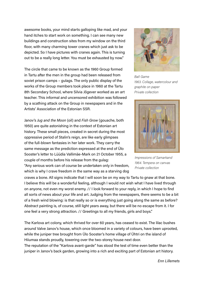awesome books, your mind starts galloping like mad, and your hand itches to start work on something. I can see many new buildings and construction sites from my window on the third floor, with many charming tower cranes which just ask to be depicted. So I have pictures with cranes again. This is turning out to be a really long letter. You must be exhausted by now."

The circle that came to be known as the 1960 Group formed in Tartu after the men in the group had been released from soviet prison camps – gulags. The only public display of the works of the Group members took place in 1960 at the Tartu 8th Secondary School, where Silvia Jõgever worked as an art teacher. This informal and uncensored exhibition was followed by a scathing attack on the Group in newspapers and in the Artists' Association of the Estonian SSR.

Janov's Jug and the Moon (oil) and Fish Grow (gouache, both 1950) are quite astonishing in the context of Estonian art history. These small pieces, created in secret during the most oppressive period of Stalin's reign, are like early glimpses of the full-blown fantasies in her later work. They carry the same message as the prediction expressed at the end of Ülo Sooster's letter to Lüüdia Vallimäe-Mark on 21 October 1955, a couple of months before his release from the gulag: "Any serious work can of course be undertaken only in freedom, which is why I crave freedom in the same way as a starving dog

craves a bone. All signs indicate that I will soon be on my way to Tartu to gnaw at that bone. I believe this will be a wonderful feeling, although I would not wish what I have lived through on anyone, not even my worst enemy. // I look forward to your reply, in which I hope to find all sorts of news about your life and art. Judging from the newspapers, there seems to be a bit of a fresh wind blowing: is that really so or is everything just going along the same as before? Abstract painting is, of course, still light years away, but there will be no escape from it. I for one feel a very strong attraction. // Greetings to all my friends, girls and boys."

The Karlova art colony, which thrived for over 60 years, has ceased to exist. The lilac bushes around Valve Janov's house, which once bloomed in a variety of colours, have been uprooted, while the juniper tree brought from Ülo Sooster's home village of Ühtri on the island of Hiiumaa stands proudly, towering over the two-storey house next door. The reputation of the "Karlova avant-garde" has stood the test of time even better than the juniper in Janov's back garden, growing into a rich and exciting part of Estonian art history.



Ball Game 1963. Collage, watercolour and graphite on paper Private collection



Impressions of Samarkand 1964. Tempera on canvas Private collection

Enn Lillemets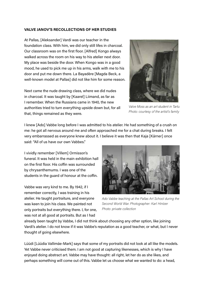# VALVE JANOV'S RECOLLECTIONS OF HER STUDIES

At Pallas, [Aleksander] Vardi was our teacher in the foundation class. With him, we did only still lifes in charcoal. Our classroom was on the first floor. [Alfred] Kongo always walked across the room on his way to his atelier next door. My place was beside the door. When Kongo was in a good mood, he used to pick me up in his arms, walk with me to his door and put me down there. La Bayadère [Magda Beck, a well-known model at Pallas] did not like him for some reason.

Next came the nude drawing class, where we did nudes in charcoal. It was taught by [Kaarel] Liimand, as far as I remember. When the Russians came in 1940, the new authorities tried to turn everything upside down but, for all that, things remained as they were.



Valve Moss as an art student in Tartu Photo: courtesy of the artist's family

I knew [Ado] Vabbe long before I was admitted to his atelier. He had something of a crush on me: he got all nervous around me and often approached me for a chat during breaks. I felt very embarrassed as everyone knew about it. I believe it was then that Kaja [Kärner] once said: "All of us have our own Vabbes."

I vividly remember [Villem] Ormisson's funeral. It was held in the main exhibition hall on the first floor. His coffin was surrounded by chrysanthemums. I was one of the students in the guard of honour at the coffin.

Vabbe was very kind to me. By 1942, if I remember correctly, I was training in his atelier. He taught portraiture, and everyone was keen to join his class. We painted not only portraits but everything there. I, for one, was not at all good at portraits. But as I had



Ado Vabbe teaching at the Pallas Art School during the Second World War. Photographer: Karl Hintzer Photo: private collection

already been taught by Vabbe, I did not think about choosing any other option, like joining Vardi's atelier. I do not know if it was Vabbe's reputation as a good teacher, or what, but I never thought of going elsewhere.

Lüüdi [Lüüdia Vallimäe-Mark] says that some of my portraits did not look at all like the models. Yet Vabbe never criticised them. I am not good at capturing likenesses, which is why I have enjoyed doing abstract art. Vabbe may have thought: all right, let her do as she likes, and perhaps something will come out of this. Vabbe let us choose what we wanted to do: a head,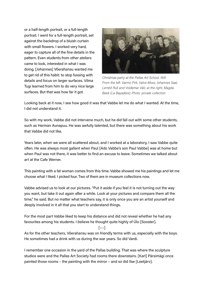or a half-length portrait, or a full-length portrait. I went for a full-length portrait, set against the backdrop of a bluish curtain with small flowers. I worked very hard, eager to capture all of the fine details in the pattern. Even students from other ateliers came to look, interested in what I was doing. [Johannes] Võerahansu wanted me to get rid of this habit: to stop fussing with details and focus on larger surfaces. Vilma Tugi learned from him to do very nice large surfaces. But that was how far it got.



Christmas party at the Pallas Art School. 1941 From the left: Varmo Pirk, Valve Moss, Johannes Saal, Lembit Rull and Voldemar Väli; at the right, Magda Beek (La Bayadere). Photo: private collection

Looking back at it now, I see how good it was that Vabbe let me do what I wanted. At the time, I did not understand it.

So with my work, Vabbe did not intervene much, but he did fall out with some other students, such as Herman Aunapuu. He was awfully talented, but there was something about his work that Vabbe did not like.

Years later, when we were all scattered about, and I worked at a laboratory, I saw Vabbe quite often. He was always most gallant when Paul [Ado Vabbe's son Paul Vabbe] was at home but when Paul was not there, it was better to find an excuse to leave. Sometimes we talked about art at the Cafe Werner.

This painting with a fat woman comes from this time. Vabbe showed me his paintings and let me choose what I liked. I picked four. Two of them are in museum collections now.

Vabbe advised us to look at our pictures. "Put it aside if you feel it is not turning out the way you want, but take it out again after a while. Look at your pictures and compare them all the time," he said. But no matter what teachers say, it is only once you are an artist yourself and deeply involved in it all that you start to understand things.

For the most part Vabbe liked to keep his distance and did not reveal whether he had any favourites among his students. I believe he thought quite highly of Ülo [Sooster].

 $[--1]$ 

As for the other teachers, Võerahansu was on friendly terms with us, especially with the boys. He sometimes had a drink with us during the war years. So did Vardi.

I remember one occasion in the yard of the Pallas building. That was where the sculpture studios were and the Pallas Art Society had rooms there downstairs. [Karl] Pärsimägi once painted those rooms – the painting with the mirror – and so did Ilse [Leetjärv].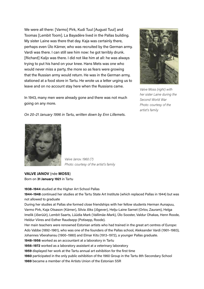We were all there: [Varmo] Pirk, Kudi Tuul [August Tuul] and Toomas [Lembit Toom]. La Bayadère lived in the Pallas building. My sister Laine was there that day. Kaja was certainly there, perhaps even Ülo Kärner, who was recruited by the German army. Vardi was there. I can still see him now: he got terribly drunk. [Richard] Kaljo was there. I did not like him at all: he was always trying to put his hand on your knee. Hans Mets was one who would never miss a party, the more so as fears were growing that the Russian army would return. He was in the German army, stationed at a food store in Tartu. He wrote us a letter urging us to leave and on no account stay here when the Russians came.

In 1943, many men were already gone and there was not much going on any more.



Valve Moss (right) with her sister Laine during the Second World War Photo: courtesy of the artist's family

On 20–21 January 1996 in Tartu, written down by Enn Lillemets.



Valve Janov. 1960 (?) Photo: courtesy of the artist's family

# VALVE JANOV (née MOSS) Born on 31 January 1921 in Tartu

1938–1944 studied at the Higher Art School Pallas

1944–1948 continued her studies at the Tartu State Art Institute (which replaced Pallas in 1944) but was not allowed to graduate

During her studies at Pallas she formed close friendships with her fellow students Herman Aunapuu, Varmo Pirk, Kaja Otsason (Kärner), Silvia Jõks (Jõgever), Helju-Laine Sarnet (Orlov, Zauram), Helga Imelik (Jõerüüt), Lembit Saarts, Lüüdia Mark (Vallimäe-Mark), Ülo Sooster, Valdur Ohakas, Henn Roode, Heldur Viires and Esther Raudsepp (Potisepp, Roode).

Her main teachers were renowned Estonian artists who had trained in the great art centres of Europe: Ado Vabbe (1892–1961), who was one of the founders of the Pallas school, Aleksander Vardi (1901–1983), Johannes Võerahansu (1900–1980) and Elmar Kits (1913–1972), a younger Pallas graduate.

1948–1956 worked as an accountant at a laboratory in Tartu

1956–1972 worked as a laboratory assistant at a veterinary laboratory

1959 displayed her work at the Tartu annual art exhibition for the first time

1960 participated in the only public exhibition of the 1960 Group in the Tartu 8th Secondary School 1969 became a member of the Artists Union of the Estonian SSR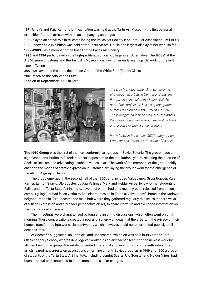1971 Janov's and Kaja Kärner's joint exhibition was held at the Tartu Art Museum (the first personal exposition for both artists), with an accompanying catalogue

1988 played an active role in re-establishing the Pallas Art Society (the Tartu Art Association until 1999) 1992 Janov's solo exhibition was held at the Tartu Artists' House, the largest display of her work so far 1992–2003 was a member of the board of the Pallas Art Society

1993 and 1994 participated in the high-profile exhibition "Collage as an Alternative. The 1960s" at the Art Museum of Estonia and the Tartu Art Museum, displaying her early avant-garde work for the first time in Tallinn

2001 was awarded the state decoration Order of the White Star (Fourth Class)

2001 received the Ado Vabbe Prize

Died on 18 September 2003 in Tartu



The Dutch photographer Wim Lamboo has photographed artists in Central and Eastern Europe since the fall of the Berlin Wall. As part of this project, he has also photographed numerous Estonian artists, starting in 1997. These images have been staged by the artists themselves, captured with a meaningful object or in a place of significance for them.

Valve Janov in her studio. 1997. Photographer: Wim Lamboo. Photo: Art Museum of Estonia

The 1960 Group was the first of the non-conformist art groups in Soviet Estonia. The group made a significant contribution to Estonian artists' opposition to the totalitarian system, rejecting the doctrine of Socialist Realism and advocating aesthetic values in art. The work of the members of the group boldly changed the modes of artistic expression in Estonian art, laying the groundwork for the emergence of the ANK '64 group in Tallinn.

The group emerged in the second half of the 1950s and included Valve Janov, Silvia Jõgever, Kaja Kärner, Lembit Saarts, Ülo Sooster, Lüüdia Vallimäe-Mark and Heldur Viires: fellow former students of Pallas and the Tartu State Art Institute, several of whom had only recently been released from prison camps (gulags) or had fallen victim to Stalinist repression in Estonia. Valve Janov's home in the Karlova neighbourhood in Tartu became the main hub where they gathered regularly to discuss modern ways of artistic expression and a broader perspective on art, to share literature and exchange information on the international art scene.

Their meetings were characterised by long and inspiring discussions, which often went on until morning. These conversations created a powerful synergy of ideas that the artists, in the privacy of their homes, transformed into world-class artworks, which, however, could not be exhibited publicly until decades later.

At Sooster's suggestion, an unofficial and uncensored exhibition was held in 1960 at the Tartu 8th Secondary School, where Silvia Jõgever worked as an art teacher, featuring the newest work by all members of the group. The exhibition ended in scandal and sanctions from the authorities. The artists feared new arrests on accusations of forming an anti-Soviet group, as in 1949 and 1950 a group of students of the Tartu State Art Institute, including Lembit Saarts, Ülo Sooster and Heldur Viires, had been arrested and sentenced to imprisonment on similar charges.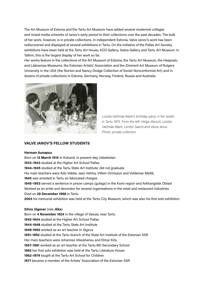The Art Museum of Estonia and the Tartu Art Museum have added several modernist collages and mixed media artworks of Janov's early period to their collections over the past decades. The bulk of her work, however, is in private collections. In independent Estonia, Valve Janov's work has been rediscovered and displayed at several exhibitions in Tartu. On the initiative of the Pallas Art Society, exhibitions have been held at the Tartu Art House, KÜÜ Gallery, Sebra Gallery and Tartu Art Museum. In Tallinn, this is the largest display of her work so far.

Her works feature in the collections of the Art Museum of Estonia, the Tartu Art Museum, the Haapsalu and Läänemaa Museums, the Estonian Artists' Association and the Zimmerli Art Museum of Rutgers University in the USA (the Norton and Nancy Dodge Collection of Soviet Nonconformist Art) and in dozens of private collections in Estonia, Germany, Norway, Finland, Russia and Australia.



Lüüdia Vallimäe-Mark's birthday party in her studio in Tartu. 1975. From the left: Helga Jõerüüt, Lüüdia Vallimäe-Mark, Lembit Saarts and Valve Janov Photo: private collection

#### VALVE JANOV'S FELLOW STUDENTS

#### Herman Aunapuu

Born on 12 March 1915 in Kokand, in present-day Uzbekistan 1933–1943 studied at the Higher Art School Pallas 1944–1945 studied at the Tartu State Art Institute; did not graduate His main teachers were Ado Vabbe, Jaan Vahtra, Villem Ormisson and Voldemar Mellik. 1945 was arrested in Tartu on fabricated charges 1945–1953 served a sentence in prison camps (gulags) in the Komi region and Arkhangelsk Oblast Worked as an artist and decorator for several organisations in the retail and restaurant industries Died on 29 December 1998 in Tartu 2003 his memorial exhibition was held at the Tartu City Museum, which was also his first solo exhibition Silvia Jõgever (née Jõks) Born on 4 November 1924 in the village of Vasula, near Tartu 1942-1944 studied at the Higher Art School Pallas 1944-1948 studied at the Tartu State Art Institute 1949-1950 worked as an art teacher in Jõgeva 1951–1952 studied at the Tartu branch of the State Art Institute of the Estonian SSR Her main teachers were Johannes Võerahansu and Elmar Kits. 1957–1961 worked as an art teacher at the Tartu 8th Secondary School 1962 her first solo exhibition was held at the Tartu Literature House 1962–1979 taught at the Tartu Art School for Children 1977 became a member of the Artists' Association of the Estonian SSR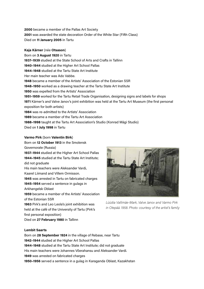2000 became a member of the Pallas Art Society 2001 was awarded the state decoration Order of the White Star (Fifth Class) Died on 11 January 2005 in Tartu

#### Kaja Kärner (née Otsason)

Born on 3 August 1920 in Tartu 1937–1939 studied at the State School of Arts and Crafts in Tallinn 1940–1944 studied at the Higher Art School Pallas 1944–1948 studied at the Tartu State Art Institute Her main teacher was Ado Vabbe. 1948 became a member of the Artists' Association of the Estonian SSR 1948–1950 worked as a drawing teacher at the Tartu State Art Institute 1950 was expelled from the Artists' Association 1951–1959 worked for the Tartu Retail Trade Organisation, designing signs and labels for shops 1971 Kärner's and Valve Janov's joint exhibition was held at the Tartu Art Museum (the first personal exposition for both artists) 1984 was re-admitted to the Artists' Association 1989 became a member of the Tartu Art Association 1988–1998 taught at the Tartu Art Association's Studio (Konrad Mägi Studio)

Died on 1 July 1998 in Tartu

#### Varmo Pirk (born Valentin Birk)

Born on 12 October 1913 in the Smolensk Governorate (Russia) 1937–1944 studied at the Higher Art School Pallas 1944–1945 studied at the Tartu State Art Institute; did not graduate His main teachers were Aleksander Vardi, Kaarel Liimand and Villem Ormisson. 1945 was arrested in Tartu on fabricated charges 1945–1954 served a sentence in gulags in Arkhangelsk Oblast 1959 became a member of the Artists' Association of the Estonian SSR 1963 Pirk's and Leo Leola's joint exhibition was held at the café of the University of Tartu (Pirk's first personal exposition)



Lüüdia Vallimäe-Mark, Valve Janov and Varmo Pirk in Otepää. 1958. Photo: courtesy of the artist's family

Died on 27 February 1980 in Tallinn

#### Lembit Saarts

Born on 28 September 1924 in the village of Rebase, near Tartu 1942–1944 studied at the Higher Art School Pallas 1944–1948 studied at the Tartu State Art Institute; did not graduate His main teachers were Johannes Võerahansu and Aleksander Vardi. 1949 was arrested on fabricated charges 1950–1956 served a sentence in a gulag in Karaganda Oblast, Kazakhstan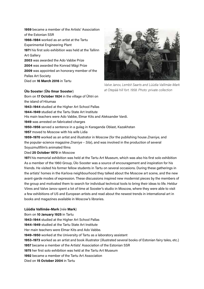1959 became a member of the Artists' Association of the Estonian SSR 1966–1984 worked as an artist at the Tartu Experimental Engineering Plant 1971 his first solo exhibition was held at the Tallinn Art Gallery 2003 was awarded the Ado Vabbe Prize 2004 was awarded the Konrad Mägi Prize 2009 was appointed an honorary member of the Pallas Art Society

Born on 17 October 1924 in the village of Ühtri on

Died on 16 March 2016 in Tartu

## Ülo Sooster (Ülo Ilmar Sooster)

the island of Hiiumaa



Valve Janov, Lembit Saarts and Lüüdia Vallimäe-Mark at Otepää hill fort. 1958. Photo: private collection

1943–1944 studied at the Higher Art School Pallas 1944–1949 studied at the Tartu State Art Institute His main teachers were Ado Vabbe, Elmar Kits and Aleksander Vardi. 1949 was arrested on fabricated charges 1950–1956 served a sentence in a gulag in Karaganda Oblast, Kazakhstan 1957 moved to Moscow with his wife Lidia

1959-1970 worked as an artist and illustrator in Moscow (for the publishing house Znaniye, and the popular-science magazine Znaniye - Sila), and was involved in the production of several Soyuzmultfilm's animated films

## Died 25 October 1970 in Moscow

1971 his memorial exhibition was held at the Tartu Art Museum, which was also his first solo exhibition As a member of the 1960 Group, Ülo Sooster was a source of encouragement and inspiration for his friends. He visited his former fellow students in Tartu on several occasions. During these gatherings in the artists' homes in the Karlova neighbourhood they talked about the Moscow art scene, and the new avant-garde modes of expression. These discussions inspired new modernist pieces by the members of the group and motivated them to search for individual technical tools to bring their ideas to life. Heldur Viires and Valve Janov spent a lot of time at Sooster's studio in Moscow, where they were able to visit a few exhibitions of US and European artists and read about the newest trends in international art in books and magazines available in Moscow's libraries.

#### Lüüdia Vallimäe-Mark (née Mark)

Born on 10 January 1925 in Tartu 1943–1944 studied at the Higher Art School Pallas 1944–1949 studied at the Tartu State Art Institute Her main teachers were Elmar Kits and Ado Vabbe. 1949–1950 worked at the University of Tartu as a laboratory assistant 1953–1973 worked as an artist and book illustrator (illustrated several books of Estonian fairy tales, etc.) 1957 became a member of the Artists' Association of the Estonian SSR 1975 her first solo exhibition was held at the Tartu Art Museum 1992 became a member of the Tartu Art Association Died on 15 October 2004 in Tartu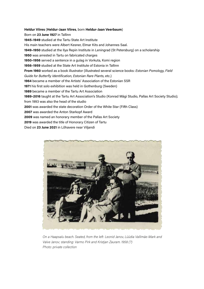Heldur Viires (Heldur-Jaan Viires, born Heldur-Jaan Veerbaum) Born on 23 June 1927 in Tallinn 1945–1949 studied at the Tartu State Art Institute His main teachers were Albert Kesner, Elmar Kits and Johannes Saal. 1949–1950 studied at the Ilya Repin Institute in Leningrad (St Petersburg) on a scholarship 1950 was arrested in Tartu on fabricated charges 1950–1956 served a sentence in a gulag in Vorkuta, Komi region 1956–1959 studied at the State Art Institute of Estonia in Tallinn From 1960 worked as a book illustrator (illustrated several science books: Estonian Pomology, Field Guide for Butterfly Identification, Estonian Rare Plants, etc.) 1964 became a member of the Artists' Association of the Estonian SSR 1971 his first solo exhibition was held in Gothenburg (Sweden) 1989 became a member of the Tartu Art Association 1989–2016 taught at the Tartu Art Association's Studio (Konrad Mägi Studio, Pallas Art Society Studio); from 1993 was also the head of the studio 2001 was awarded the state decoration Order of the White Star (Fifth Class) 2007 was awarded the Anton Starkopf Award 2009 was named an honorary member of the Pallas Art Society 2019 was awarded the title of Honorary Citizen of Tartu

Died on 23 June 2021 in Lõhavere near Viljandi



On a Haapsalu beach. Seated, from the left: Leonid Janov, Lüüdia Vallimäe-Mark and Valve Janov; standing: Varmo Pirk and Kristjan Zauram. 1958 (?) Photo: private collection